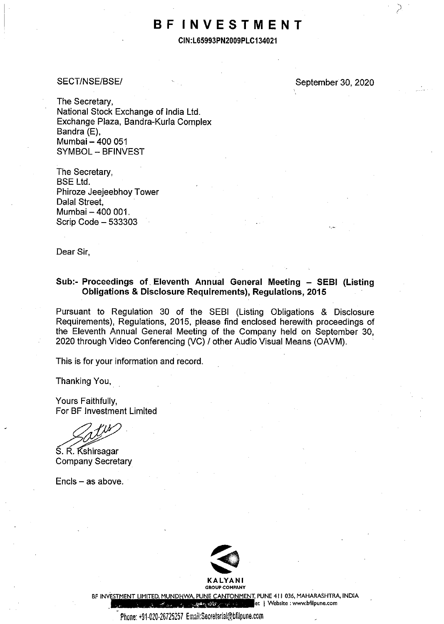# **BF INVESTMENT**

**CIN:L65993PN2009PLC134021** 

#### SECT/NSE/BSE/

September 30, 2020

The Secretary, National Stock Exchange of India Ltd. Exchange Plaza, Bandra-Kurla Complex Bandra (E), Mumbai - 400 051 SYMBOL - BFINVEST

The Secretary, BSE Ltd. Phiroze Jeejeebhoy Tower Dalal Street, Mumbai - 400 001. Scrip Code - 533303

Dear Sir,

## **Sub:- Proceedings of Eleventh Annual General Meeting - SEBI (Listing Obligations & Disclosure Requirements), Regulations, 2015**

Pursuant to Regulation 30 of the SEBI (Listing Obligations & Disclosure Requirements), Regulations, 2015, please find enclosed herewith proceedings of the Eleventh Annual General Meeting of the Company held on September 30, 2020 through Video Conferencing (VC) / other Audio Visual Means (OAVM).

This is for your information and record.

Thanking You,

Yours Faithfully, For BF Investment Limited

S. R. Kshirsagar<br>Company Secretary

 $Encls - as above.$ 



BF INVESTMENT LIMITED, MUNDHWA, PUNE CANTONMENT, PUNE 411 036, MAHARASHTRA, INDIA<br>et | Website : www.bfilpune.com **<sup>t</sup>I Website : www.bfilpune.com**  المستقر المحترى المجتر

Phone: +91-020-26725257 Email:Secretarial@bfilpune.com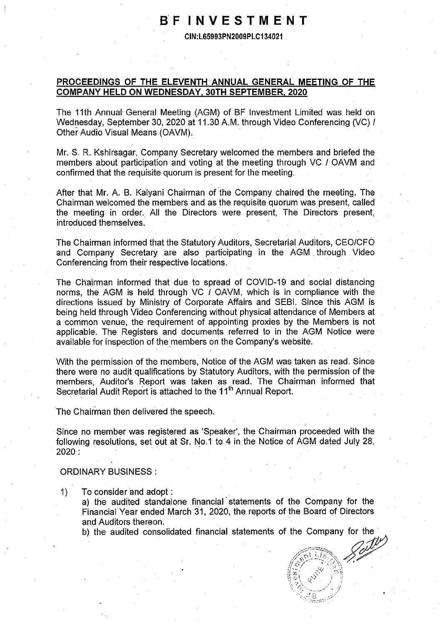## **BF INVESTMENT**

**CIN:L65993PN2009PLC134021** 

### **PROCEEDINGS OF THE ELEVENTH ANNUAL GENERAL MEETING OF THE COMPANY HELD ON WEDNESDAY, 30TH SEPTEMBER, 2020**

The 11th Annual General Meeting (AGM) of BF Investment Limited was held on Wednesday, September 30, 2020 at 11.30 A.M. through Video Conferencing (VC) / Other Audio Visual Means (OAVM).

Mr. S. R. Kshirsagar, Company Secretary welcomed the members and briefed the members about participation and voting at the meeting through VC / OAVM and confirmed that the requisite quorum is present for the meeting.

After that Mr. A. B. Kalyani Chairman of the Company chaired the meeting. The Chairman welcomed the members and as the requisite quorum was present, called the meeting in order. All the Directors were present, The Directors present, introduced themselves.

The Chairman informed that the Statutory Auditors, Secretarial Auditors, CEO/CFO and Company Secretary are also participating in the AGM through Video Conferencing from their respective locations.

The Chairman informed that due to spread of COVID-19 and social distancing norms, the AGM is held through VC / OAVM, which is in compliance with the directions issued by Ministry of Corporate Affairs and SEBI. Since this AGM is being held through Video Conferencing without physical attendance of Members at a common venue, the requirement of appointing proxies by the Members is not applicable. The Registers and documents referred to in the AGM Notice were available for inspection of the members on the Company's website.

With the permission of the members, Notice of the AGM was taken as read. Since there were no audit qualifications by Statutory Auditors, with the permission of the members, Auditor's Report was taken as read. The Chairman informed that Secretarial Audit Report is attached to the 11<sup>th</sup> Annual Report.

The Chairman then delivered the speech.

Since no member was registered as 'Speaker', the Chairman proceeded with the following resolutions, set out at Sr. No.1 to 4 in the Notice of AGM dated July 28,  $2020:$ 

#### ORDINARY BUSINESS :

1) To consider and adopt : a) the audited standalone financial statements of the Company for the Financial Year ended March 31, 2020, the reports of the Board of Directors and Auditors thereon.

b) the audited consolidated financial statements of the Company for the  $\sim$  $\begin{picture}(18,17) \put(0,0){\line(1,0){15}} \put(15,0){\line(1,0){15}} \put(15,0){\line(1,0){15}} \put(15,0){\line(1,0){15}} \put(15,0){\line(1,0){15}} \put(15,0){\line(1,0){15}} \put(15,0){\line(1,0){15}} \put(15,0){\line(1,0){15}} \put(15,0){\line(1,0){15}} \put(15,0){\line(1,0){15}} \put(15,0){\line(1,0){15}} \put(15,0){\line(1$